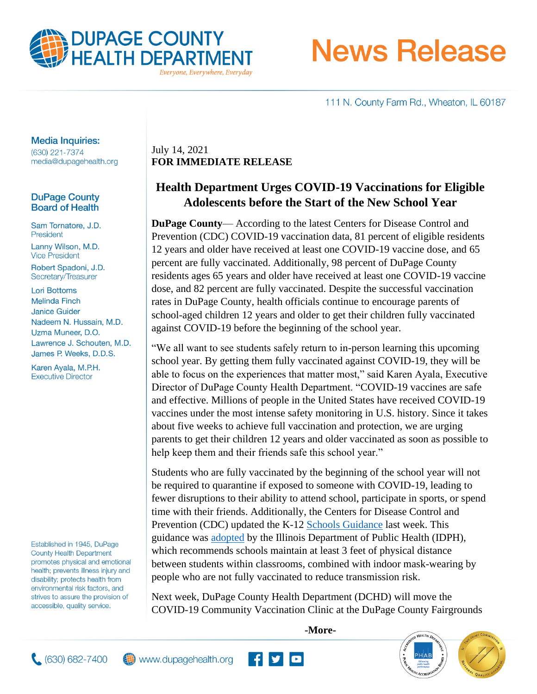

**News Release** 

111 N. County Farm Rd., Wheaton, IL 60187

### **Media Inquiries:**

(630) 221-7374 media@dupagehealth.org

### **DuPage County Board of Health**

Sam Tornatore, J.D. President Lanny Wilson, M.D. **Vice President** 

Robert Spadoni, J.D. Secretary/Treasurer

**Lori Bottoms Melinda Finch Janice Guider** Nadeem N. Hussain, M.D. Uzma Muneer, D.O. Lawrence J. Schouten, M.D. James P. Weeks, D.D.S.

Karen Ayala, M.P.H. **Executive Director** 

Established in 1945, DuPage **County Health Department** promotes physical and emotional health; prevents illness injury and disability; protects health from environmental risk factors, and strives to assure the provision of accessible, quality service.

July 14, 2021 **FOR IMMEDIATE RELEASE**

# **Health Department Urges COVID-19 Vaccinations for Eligible Adolescents before the Start of the New School Year**

**DuPage County**— According to the latest Centers for Disease Control and Prevention (CDC) COVID-19 vaccination data, 81 percent of eligible residents 12 years and older have received at least one COVID-19 vaccine dose, and 65 percent are fully vaccinated. Additionally, 98 percent of DuPage County residents ages 65 years and older have received at least one COVID-19 vaccine dose, and 82 percent are fully vaccinated. Despite the successful vaccination rates in DuPage County, health officials continue to encourage parents of school-aged children 12 years and older to get their children fully vaccinated against COVID-19 before the beginning of the school year.

"We all want to see students safely return to in-person learning this upcoming school year. By getting them fully vaccinated against COVID-19, they will be able to focus on the experiences that matter most," said Karen Ayala, Executive Director of DuPage County Health Department. "COVID-19 vaccines are safe and effective. Millions of people in the United States have received COVID-19 vaccines under the most intense safety monitoring in U.S. history. Since it takes about five weeks to achieve full vaccination and protection, we are urging parents to get their children 12 years and older vaccinated as soon as possible to help keep them and their friends safe this school year."

Students who are fully vaccinated by the beginning of the school year will not be required to quarantine if exposed to someone with COVID-19, leading to fewer disruptions to their ability to attend school, participate in sports, or spend time with their friends. Additionally, the Centers for Disease Control and Prevention (CDC) updated the K-12 [Schools Guidance](https://www.cdc.gov/coronavirus/2019-ncov/community/schools-childcare/index.html) last week. This guidance was [adopted](http://www.dph.illinois.gov/news/illinois-department-public-health-adopts-cdc-covid-19-prevention-school-guidance) by the Illinois Department of Public Health (IDPH), which recommends schools maintain at least 3 feet of physical distance between students within classrooms, combined with indoor mask-wearing by people who are not fully vaccinated to reduce transmission risk.

Next week, DuPage County Health Department (DCHD) will move the COVID-19 Community Vaccination Clinic at the DuPage County Fairgrounds

**-More-**

**HEALTH** 





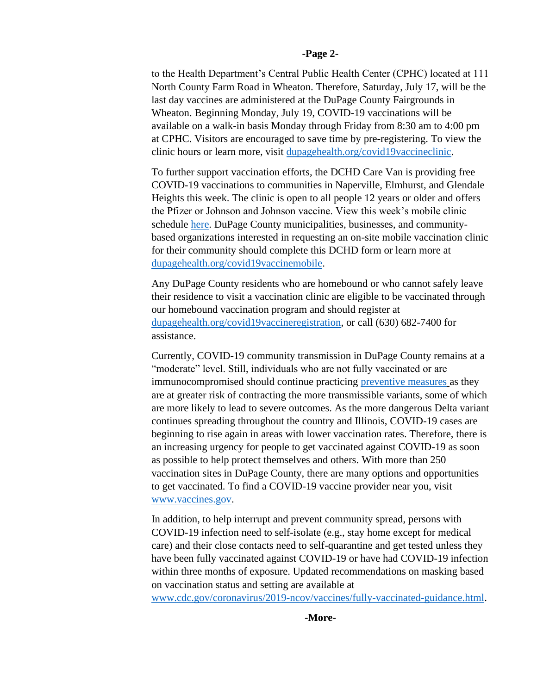#### **-Page 2-**

to the Health Department's Central Public Health Center (CPHC) located at 111 North County Farm Road in Wheaton. Therefore, Saturday, July 17, will be the last day vaccines are administered at the DuPage County Fairgrounds in Wheaton. Beginning Monday, July 19, COVID-19 vaccinations will be available on a walk-in basis Monday through Friday from 8:30 am to 4:00 pm at CPHC. Visitors are encouraged to save time by pre-registering. To view the clinic hours or learn more, visit [dupagehealth.org/covid19vaccineclinic.](http://www.dupagehealth.org/covid19vaccineclinic)

To further support vaccination efforts, the DCHD Care Van is providing free COVID-19 vaccinations to communities in Naperville, Elmhurst, and Glendale Heights this week. The clinic is open to all people 12 years or older and offers the Pfizer or Johnson and Johnson vaccine. View this week's mobile clinic schedule [here.](https://www.dupagehealth.org/DocumentCenter/View/6281/Care-Van-Community-Calendar-Wk-of-7-11-21) DuPage County municipalities, businesses, and communitybased organizations interested in requesting an on-site mobile vaccination clinic for their community should complete this DCHD form or learn more at [dupagehealth.org/covid19vaccinemobile.](http://www.dupagehealth.org/covid19vaccinemobile)

Any DuPage County residents who are homebound or who cannot safely leave their residence to visit a vaccination clinic are eligible to be vaccinated through our homebound vaccination program and should register at [dupagehealth.org/covid19vaccineregistration,](http://www.dupagehealth.org/covid19vaccineregistration) or call (630) 682-7400 for assistance.

Currently, COVID-19 community transmission in DuPage County remains at a "moderate" level. Still, individuals who are not fully vaccinated or are immunocompromised should continue practicing [preventive measures](https://www.cdc.gov/coronavirus/2019-ncov/prevent-getting-sick/prevention.html) as they are at greater risk of contracting the more transmissible variants, some of which are more likely to lead to severe outcomes. As the more dangerous Delta variant continues spreading throughout the country and Illinois, COVID-19 cases are beginning to rise again in areas with lower vaccination rates. Therefore, there is an increasing urgency for people to get vaccinated against COVID-19 as soon as possible to help protect themselves and others. With more than 250 vaccination sites in DuPage County, there are many options and opportunities to get vaccinated. To find a COVID-19 vaccine provider near you, visit [www.vaccines.gov.](http://www.vaccines.gov/)

In addition, to help interrupt and prevent community spread, persons with COVID-19 infection need to self-isolate (e.g., stay home except for medical care) and their close contacts need to self-quarantine and get tested unless they have been fully vaccinated against COVID-19 or have had COVID-19 infection within three months of exposure. Updated recommendations on masking based on vaccination status and setting are available at

[www.cdc.gov/coronavirus/2019-ncov/vaccines/fully-vaccinated-guidance.html.](https://www.cdc.gov/coronavirus/2019-ncov/vaccines/fully-vaccinated-guidance.html)